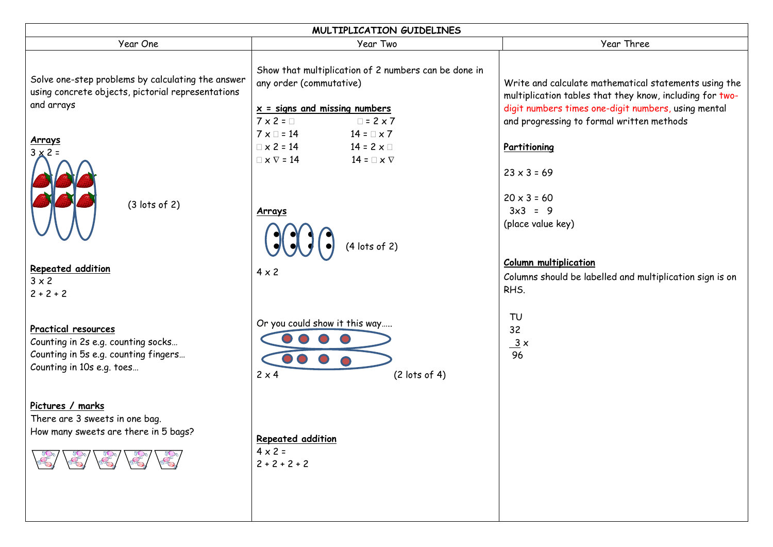| MULTIPLICATION GUIDELINES                                                                                                             |                                                                                                                                                                |                                                                                                                                                                                                                       |  |
|---------------------------------------------------------------------------------------------------------------------------------------|----------------------------------------------------------------------------------------------------------------------------------------------------------------|-----------------------------------------------------------------------------------------------------------------------------------------------------------------------------------------------------------------------|--|
| Year One                                                                                                                              | Year Two                                                                                                                                                       | Year Three                                                                                                                                                                                                            |  |
| Solve one-step problems by calculating the answer<br>using concrete objects, pictorial representations<br>and arrays                  | Show that multiplication of 2 numbers can be done in<br>any order (commutative)<br>$x =$ signs and missing numbers<br>$7 \times 2 = \square$<br>$\Box$ = 2 x 7 | Write and calculate mathematical statements using the<br>multiplication tables that they know, including for two-<br>digit numbers times one-digit numbers, using mental<br>and progressing to formal written methods |  |
| Arrays<br>$3 \times 2 =$                                                                                                              | $7 \times \square = 14$ $14 = \square \times 7$<br>$\Box \times 2 = 14$ $14 = 2 \times \Box$<br>$\Box \times \nabla = 14$ $14 = \Box \times \nabla$            | Partitioning<br>$23 \times 3 = 69$                                                                                                                                                                                    |  |
| $(3$ lots of 2)                                                                                                                       | Arrays<br>$\mathcal{G}(\mathcal{J})$<br>$(4$ lots of 2)                                                                                                        | $20 \times 3 = 60$<br>$3x3 = 9$<br>(place value key)                                                                                                                                                                  |  |
| Repeated addition<br>$3 \times 2$<br>$2 + 2 + 2$                                                                                      | $4 \times 2$                                                                                                                                                   | <b>Column multiplication</b><br>Columns should be labelled and multiplication sign is on<br>RHS.                                                                                                                      |  |
| <b>Practical resources</b><br>Counting in 2s e.g. counting socks<br>Counting in 5s e.g. counting fingers<br>Counting in 10s e.g. toes | Or you could show it this way<br>$(2$ lots of 4)<br>$2 \times 4$                                                                                               | TU<br>32<br>$\frac{3}{2}$ $\times$<br>96                                                                                                                                                                              |  |
| Pictures / marks<br>There are 3 sweets in one bag.<br>How many sweets are there in 5 bags?<br>8/8/8/                                  | Repeated addition<br>$4 \times 2 =$<br>$2 + 2 + 2 + 2$                                                                                                         |                                                                                                                                                                                                                       |  |